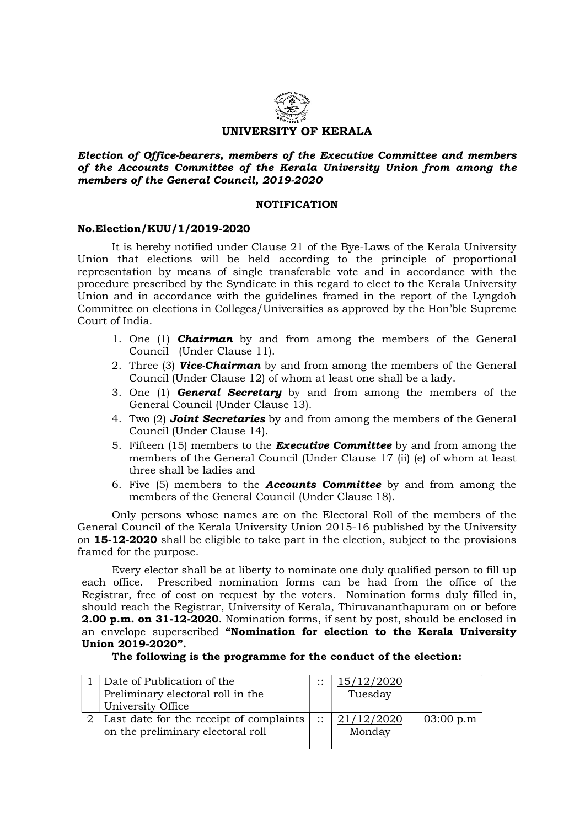

Election of Office-bearers, members of the Executive Committee and members of the Accounts Committee of the Kerala University Union from among the members of the General Council, 2019-2020

## NOTIFICATION

## No.Election/KUU/1/2019-2020

 It is hereby notified under Clause 21 of the Bye-Laws of the Kerala University Union that elections will be held according to the principle of proportional representation by means of single transferable vote and in accordance with the procedure prescribed by the Syndicate in this regard to elect to the Kerala University Union and in accordance with the guidelines framed in the report of the Lyngdoh Committee on elections in Colleges/Universities as approved by the Hon'ble Supreme Court of India.

- 1. One (1) **Chairman** by and from among the members of the General Council (Under Clause 11).
- 2. Three (3) **Vice-Chairman** by and from among the members of the General Council (Under Clause 12) of whom at least one shall be a lady.
- 3. One (1) **General Secretary** by and from among the members of the General Council (Under Clause 13).
- 4. Two (2) **Joint Secretaries** by and from among the members of the General Council (Under Clause 14).
- 5. Fifteen  $(15)$  members to the **Executive Committee** by and from among the members of the General Council (Under Clause 17 (ii) (e) of whom at least three shall be ladies and
- 6. Five (5) members to the Accounts Committee by and from among the members of the General Council (Under Clause 18).

Only persons whose names are on the Electoral Roll of the members of the General Council of the Kerala University Union 2015-16 published by the University on 15-12-2020 shall be eligible to take part in the election, subject to the provisions framed for the purpose.

 Every elector shall be at liberty to nominate one duly qualified person to fill up each office. Prescribed nomination forms can be had from the office of the Registrar, free of cost on request by the voters. Nomination forms duly filled in, should reach the Registrar, University of Kerala, Thiruvananthapuram on or before 2.00 p.m. on 31-12-2020. Nomination forms, if sent by post, should be enclosed in an envelope superscribed "Nomination for election to the Kerala University Union 2019-2020".

The following is the programme for the conduct of the election:

| Date of Publication of the              | $\cdot \cdot$<br>$\cdot$ . | .5/12/2020 |           |
|-----------------------------------------|----------------------------|------------|-----------|
| Preliminary electoral roll in the       |                            | Tuesday    |           |
| University Office                       |                            |            |           |
| Last date for the receipt of complaints | $\cdot$ .                  | /12/2020   | 03:00 p.m |
| on the preliminary electoral roll       |                            | Monday     |           |
|                                         |                            |            |           |